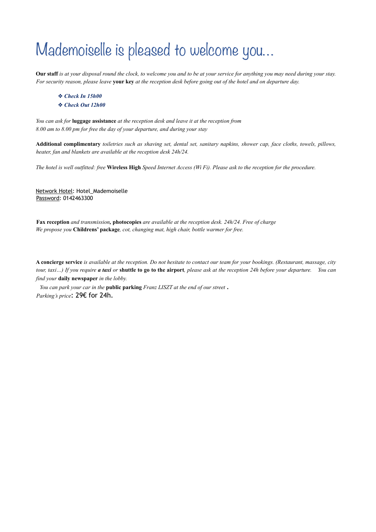### Mademoiselle is pleased to welcome you…

**Our staff** *is at your disposal round the clock, to welcome you and to be at your service for anything you may need during your stay. For security reason, please leave* **your key** *at the reception desk before going out of the hotel and on departure day.* 

- ❖ *Check In 15h00*
- ❖ *Check Out 12h00*

*You can ask for* **luggage assistance** *at the reception desk and leave it at the reception from 8.00 am to 8.00 pm for free the day of your departure, and during your stay* 

**Additional complimentary** *toiletries such as shaving set, dental set, sanitary napkins, shower cap, face cloths, towels, pillows, heater, fan and blankets are available at the reception desk 24h/24.* 

*The hotel is well outfitted: free* **Wireless High** *Speed Internet Access (Wi Fi). Please ask to the reception for the procedure.* 

Network Hotel: Hotel\_Mademoiselle Password: 0142463300

**Fax reception** *and transmission,* **photocopies** *are available at the reception desk. 24h/24. Free of charge We propose you* **Childrens' package***, cot, changing mat, high chair, bottle warmer for free.*

**A concierge service** *is available at the reception. Do not hesitate to contact our team for your bookings. (Restaurant, massage, city tour, taxi…) If you require a taxi or* **shuttle to go to the airport***, please ask at the reception 24h before your departure. You can find your* **daily newspaper** *in the lobby.*

*You can park your car in the* **public parking** *Franz LISZT at the end of our street* . *Parking's price*: 29€ for 24h.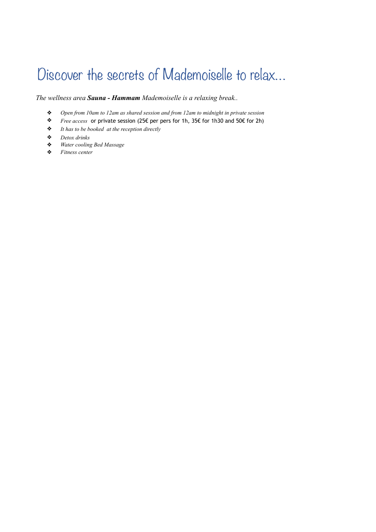### Discover the secrets of Mademoiselle to relax…

*The wellness area Sauna - Hammam Mademoiselle is a relaxing break..* 

- ❖ *Open from 10am to 12am as shared session and from 12am to midnight in private session*
- ❖ *Free access* or private session (25€ per pers for 1h, 35€ for 1h30 and 50€ for 2h)
- ❖ *It has to be booked at the reception directly*
- ❖ *Detox drinks*
- ❖ *Water cooling Bed Massage*
- ❖ *Fitness center*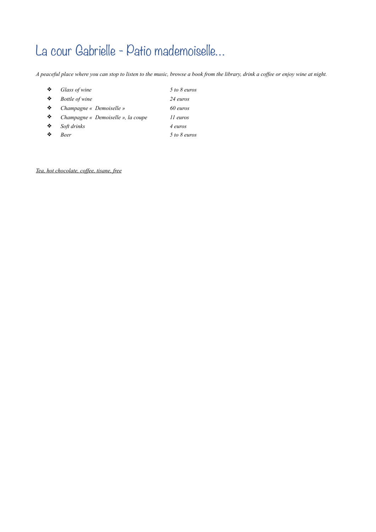### La cour Gabrielle - Patio mademoiselle...

*A peaceful place where you can stop to listen to the music, browse a book from the library, drink a coffee or enjoy wine at night.* 

| Glass of wine                      | 5 to 8 euros |
|------------------------------------|--------------|
| <b>Bottle</b> of wine              | 24 euros     |
| Champagne « Demoiselle »           | 60 euros     |
| Champagne « Demoiselle », la coupe | 11 euros     |
| Soft drinks                        | 4 euros      |
| Beer                               | 5 to 8 euros |
|                                    |              |

*Tea, hot chocolate, coffee, tisane, free*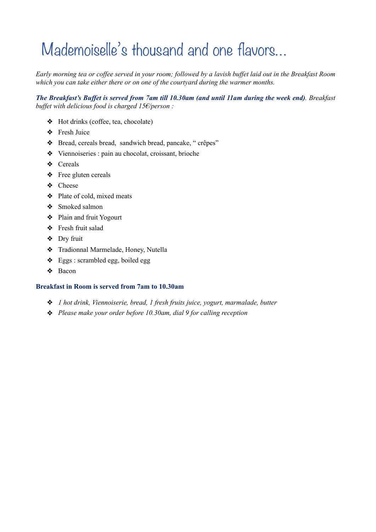## Mademoiselle's thousand and one flavors…

*Early morning tea or coffee served in your room; followed by a lavish buffet laid out in the Breakfast Room which you can take either there or on one of the courtyard during the warmer months.* 

*The Breakfast's Buffet is served from 7am till 10.30am (and until 11am during the week end). Breakfast buffet with delicious food is charged 15€/person :* 

- ❖ Hot drinks (coffee, tea, chocolate)
- ❖ Fresh Juice
- ❖ Bread, cereals bread, sandwich bread, pancake, " crêpes"
- ❖ Viennoiseries : pain au chocolat, croissant, brioche
- ❖ Cereals
- ❖ Free gluten cereals
- ❖ Cheese
- ❖ Plate of cold, mixed meats
- ❖ Smoked salmon
- ❖ Plain and fruit Yogourt
- ❖ Fresh fruit salad
- ❖ Dry fruit
- ❖ Tradionnal Marmelade, Honey, Nutella
- ❖ Eggs : scrambled egg, boiled egg
- ❖ Bacon

#### **Breakfast in Room is served from 7am to 10.30am**

- ❖ *1 hot drink, Viennoiserie, bread, 1 fresh fruits juice, yogurt, marmalade, butter*
- ❖ *Please make your order before 10.30am, dial 9 for calling reception*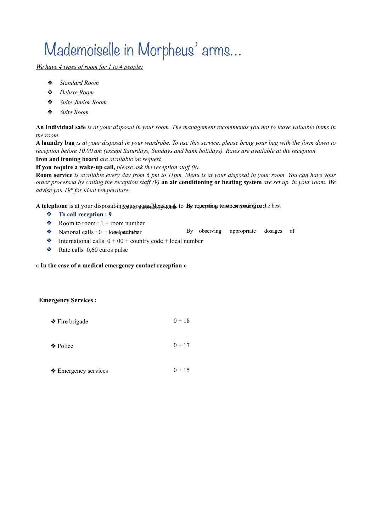# Mademoiselle in Morpheus' arms…

*We have 4 types of room for 1 to 4 people:*

- ❖ *Standard Room*
- ❖ *Deluxe Room*
- ❖ *Suite Junior Room*
- ❖ *Suite Room*

**An Individual safe** *is at your disposal in your room. The management recommends you not to leave valuable items in the room.* 

**A laundry bag** *is at your disposal in your wardrobe. To use this service, please bring your bag with the form down to reception before 10.00 am (except Saturdays, Sundays and bank holidays). Rates are available at the reception.*  **Iron and ironing board** *are available on request* 

**If you require a wake-up call,** *please ask the reception staff (9).*

**Room service** *is available every day from 6 pm to 11pm. Menu is at your disposal in your room. You can have your order processed by calling the reception staff (9)* **an air conditioning or heating system** *are set up in your room. We advise you 19° for ideal temperature.* 

A telephone is at your disposabing caust again Ricassa and to the repeption wastper your hine the best

- ❖ **To call reception : 9**
- $\triangleleft$  Room to room : 1 + room number
- $\triangleleft$  National calls : 0 + local boundaries By observing appropriate dosages of
- $\triangle$  International calls  $0 + 00 +$  country code + local number
- $\triangleleft$  Rate calls 0,60 euros pulse

#### **« In the case of a medical emergency contact reception »**

#### **Emergency Services :**

| $\triangle$ Fire brigade | $0 + 18$ |
|--------------------------|----------|
|                          |          |
| ❖ Police                 | $0 + 17$ |

 $\triangle$  Emergency services 0 + 15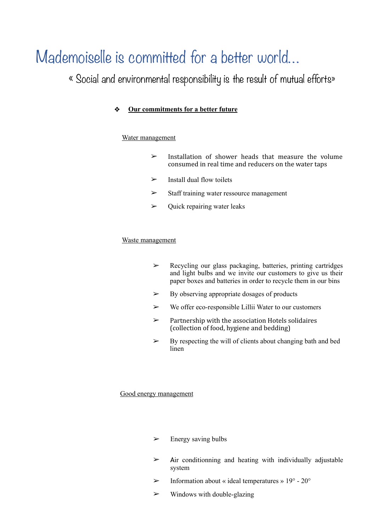### Mademoiselle is committed for a better world…

« Social and environmental responsibility is the result of mutual efforts»

### ❖ **Our commitments for a better future**

### Water management

- $\geq$  Installation of shower heads that measure the volume consumed in real time and reducers on the water taps
- $\triangleright$  Install dual flow toilets
- $\geq$  Staff training water ressource management
- $\triangleright$  Quick repairing water leaks

#### Waste management

- ➢ Recycling our glass packaging, batteries, printing cartridges and light bulbs and we invite our customers to give us their paper boxes and batteries in order to recycle them in our bins
- $\triangleright$  By observing appropriate dosages of products
- $\triangleright$  We offer eco-responsible Lillii Water to our customers
- $\triangleright$  Partnership with the association Hotels solidaires (collection of food, hygiene and bedding)
- $\triangleright$  By respecting the will of clients about changing bath and bed linen

#### Good energy management

- $\triangleright$  Energy saving bulbs
- $\geq$  Air conditionning and heating with individually adjustable system
- $\triangleright$  Information about « ideal temperatures » 19° 20°
- $\triangleright$  Windows with double-glazing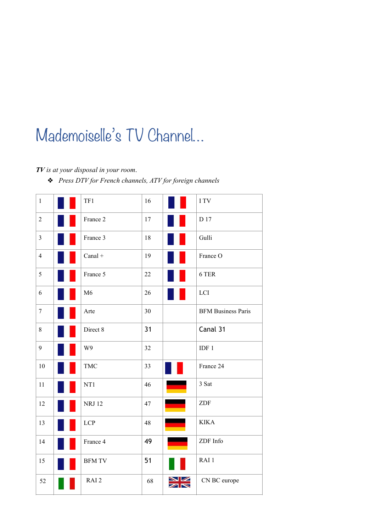## Mademoiselle's TV Channel…

### *TV is at your disposal in your room*.

❖ *Press DTV for French channels, ATV for foreign channels*

| $\mathbf{1}$     | TF1              | $16\,$ |              | I TV                      |
|------------------|------------------|--------|--------------|---------------------------|
| $\sqrt{2}$       | France 2         | 17     |              | D 17                      |
| $\overline{3}$   | France 3         | 18     |              | Gulli                     |
| $\overline{4}$   | $Canal +$        | 19     |              | France O                  |
| 5                | France 5         | $22\,$ |              | 6 TER                     |
| 6                | M6               | 26     |              | LCI                       |
| $\boldsymbol{7}$ | Arte             | 30     |              | <b>BFM Business Paris</b> |
| $8\,$            | Direct 8         | 31     |              | Canal 31                  |
| 9                | W9               | 32     |              | IDF <sub>1</sub>          |
| 10               | <b>TMC</b>       | 33     |              | France 24                 |
| 11               | NT1              | 46     |              | 3 Sat                     |
| 12               | <b>NRJ 12</b>    | 47     | <b>COLOR</b> | ZDF                       |
| 13               | LCP              | 48     |              | <b>KIKA</b>               |
| 14               | France 4         | 49     |              | ZDF Info                  |
| 15               | <b>BFM TV</b>    | 51     |              | RAI <sub>1</sub>          |
| 52               | RAI <sub>2</sub> | 68     |              | CN BC europe              |